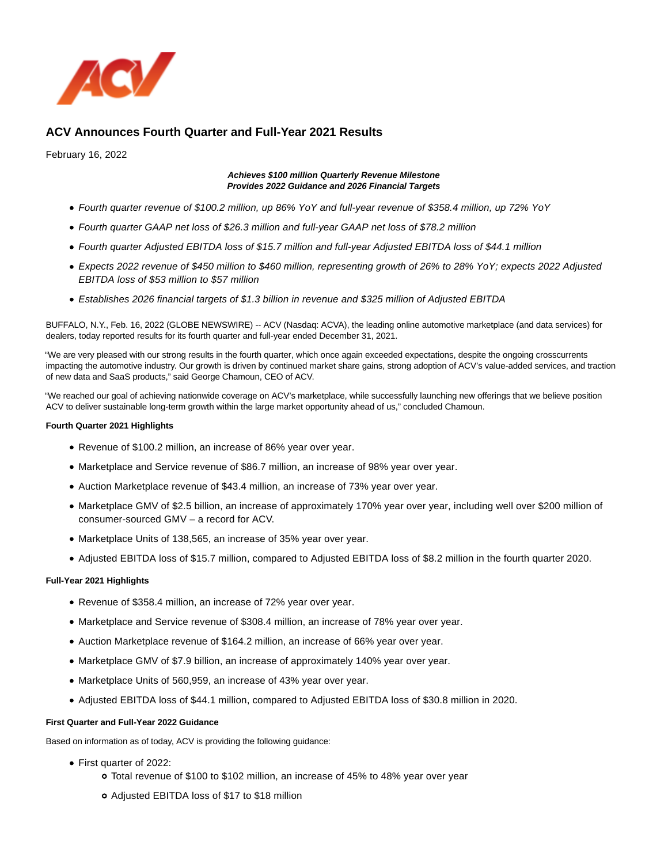

# **ACV Announces Fourth Quarter and Full-Year 2021 Results**

February 16, 2022

#### **Achieves \$100 million Quarterly Revenue Milestone Provides 2022 Guidance and 2026 Financial Targets**

- Fourth quarter revenue of \$100.2 million, up 86% YoY and full-year revenue of \$358.4 million, up 72% YoY
- Fourth quarter GAAP net loss of \$26.3 million and full-year GAAP net loss of \$78.2 million
- Fourth quarter Adjusted EBITDA loss of \$15.7 million and full-year Adjusted EBITDA loss of \$44.1 million
- Expects 2022 revenue of \$450 million to \$460 million, representing growth of 26% to 28% YoY; expects 2022 Adjusted EBITDA loss of \$53 million to \$57 million
- Establishes 2026 financial targets of \$1.3 billion in revenue and \$325 million of Adjusted EBITDA

BUFFALO, N.Y., Feb. 16, 2022 (GLOBE NEWSWIRE) -- ACV (Nasdaq: ACVA), the leading online automotive marketplace (and data services) for dealers, today reported results for its fourth quarter and full-year ended December 31, 2021.

"We are very pleased with our strong results in the fourth quarter, which once again exceeded expectations, despite the ongoing crosscurrents impacting the automotive industry. Our growth is driven by continued market share gains, strong adoption of ACV's value-added services, and traction of new data and SaaS products," said George Chamoun, CEO of ACV.

"We reached our goal of achieving nationwide coverage on ACV's marketplace, while successfully launching new offerings that we believe position ACV to deliver sustainable long-term growth within the large market opportunity ahead of us," concluded Chamoun.

### **Fourth Quarter 2021 Highlights**

- Revenue of \$100.2 million, an increase of 86% year over year.
- Marketplace and Service revenue of \$86.7 million, an increase of 98% year over year.
- Auction Marketplace revenue of \$43.4 million, an increase of 73% year over year.
- Marketplace GMV of \$2.5 billion, an increase of approximately 170% year over year, including well over \$200 million of consumer-sourced GMV – a record for ACV.
- Marketplace Units of 138,565, an increase of 35% year over year.
- Adjusted EBITDA loss of \$15.7 million, compared to Adjusted EBITDA loss of \$8.2 million in the fourth quarter 2020.

### **Full-Year 2021 Highlights**

- Revenue of \$358.4 million, an increase of 72% year over year.
- Marketplace and Service revenue of \$308.4 million, an increase of 78% year over year.
- Auction Marketplace revenue of \$164.2 million, an increase of 66% year over year.
- Marketplace GMV of \$7.9 billion, an increase of approximately 140% year over year.
- Marketplace Units of 560,959, an increase of 43% year over year.
- Adjusted EBITDA loss of \$44.1 million, compared to Adjusted EBITDA loss of \$30.8 million in 2020.

### **First Quarter and Full-Year 2022 Guidance**

Based on information as of today, ACV is providing the following guidance:

- First quarter of 2022:
	- Total revenue of \$100 to \$102 million, an increase of 45% to 48% year over year
	- Adjusted EBITDA loss of \$17 to \$18 million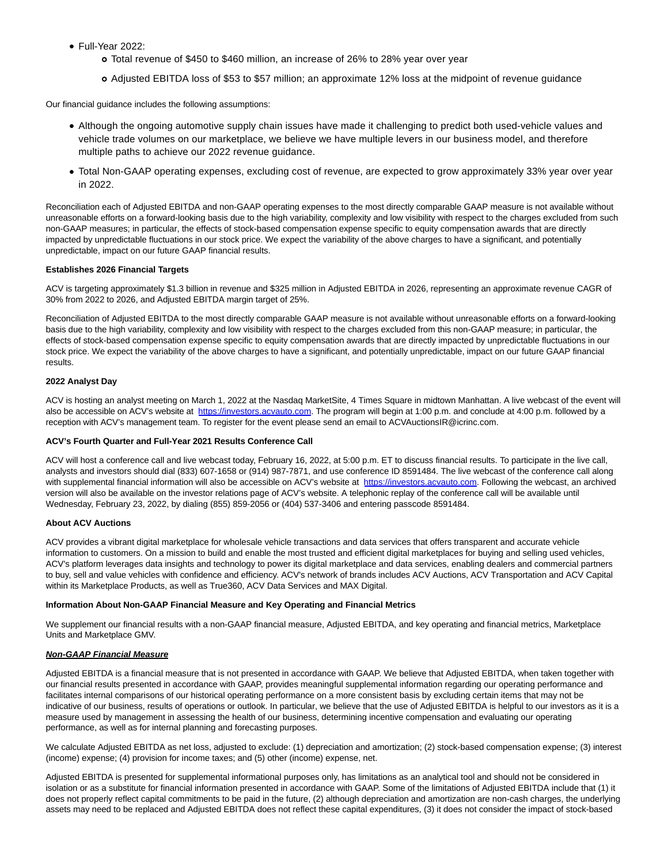- Full-Year 2022:
	- Total revenue of \$450 to \$460 million, an increase of 26% to 28% year over year
	- Adjusted EBITDA loss of \$53 to \$57 million; an approximate 12% loss at the midpoint of revenue guidance

Our financial guidance includes the following assumptions:

- Although the ongoing automotive supply chain issues have made it challenging to predict both used-vehicle values and vehicle trade volumes on our marketplace, we believe we have multiple levers in our business model, and therefore multiple paths to achieve our 2022 revenue guidance.
- Total Non-GAAP operating expenses, excluding cost of revenue, are expected to grow approximately 33% year over year in 2022.

Reconciliation each of Adjusted EBITDA and non-GAAP operating expenses to the most directly comparable GAAP measure is not available without unreasonable efforts on a forward-looking basis due to the high variability, complexity and low visibility with respect to the charges excluded from such non-GAAP measures; in particular, the effects of stock-based compensation expense specific to equity compensation awards that are directly impacted by unpredictable fluctuations in our stock price. We expect the variability of the above charges to have a significant, and potentially unpredictable, impact on our future GAAP financial results.

### **Establishes 2026 Financial Targets**

ACV is targeting approximately \$1.3 billion in revenue and \$325 million in Adjusted EBITDA in 2026, representing an approximate revenue CAGR of 30% from 2022 to 2026, and Adjusted EBITDA margin target of 25%.

Reconciliation of Adjusted EBITDA to the most directly comparable GAAP measure is not available without unreasonable efforts on a forward-looking basis due to the high variability, complexity and low visibility with respect to the charges excluded from this non-GAAP measure; in particular, the effects of stock-based compensation expense specific to equity compensation awards that are directly impacted by unpredictable fluctuations in our stock price. We expect the variability of the above charges to have a significant, and potentially unpredictable, impact on our future GAAP financial results.

### **2022 Analyst Day**

ACV is hosting an analyst meeting on March 1, 2022 at the Nasdaq MarketSite, 4 Times Square in midtown Manhattan. A live webcast of the event will also be accessible on ACV's website at [https://investors.acvauto.com.](https://www.globenewswire.com/Tracker?data=uvtuT-20--9X26jfMOveiCePnz-qlYizUjojPsS1eO_d-5ZOe_qO-AmeYlTlg_ADHpQBuZ91gqlO0_xEgXKKoBXkrAwqdrMYDUe9yjbJ6jOicEwbfy5kUkyFp0NEZdjv) The program will begin at 1:00 p.m. and conclude at 4:00 p.m. followed by a reception with ACV's management team. To register for the event please send an email to ACVAuctionsIR@icrinc.com.

### **ACV's Fourth Quarter and Full-Year 2021 Results Conference Call**

ACV will host a conference call and live webcast today, February 16, 2022, at 5:00 p.m. ET to discuss financial results. To participate in the live call, analysts and investors should dial (833) 607-1658 or (914) 987-7871, and use conference ID 8591484. The live webcast of the conference call along with supplemental financial information will also be accessible on ACV's website at [https://investors.acvauto.com.](https://www.globenewswire.com/Tracker?data=uvtuT-20--9X26jfMOveiCePnz-qlYizUjojPsS1eO-VSKdc3JGqJnBqIy8SzV7Y0oGJqwUoGZZ8U_HSr9V_GNEgpDnlU4MIgvbj7hx3n8v_L29uS9O2B-KYuqoY3M96) Following the webcast, an archived version will also be available on the investor relations page of ACV's website. A telephonic replay of the conference call will be available until Wednesday, February 23, 2022, by dialing (855) 859-2056 or (404) 537-3406 and entering passcode 8591484.

### **About ACV Auctions**

ACV provides a vibrant digital marketplace for wholesale vehicle transactions and data services that offers transparent and accurate vehicle information to customers. On a mission to build and enable the most trusted and efficient digital marketplaces for buying and selling used vehicles, ACV's platform leverages data insights and technology to power its digital marketplace and data services, enabling dealers and commercial partners to buy, sell and value vehicles with confidence and efficiency. ACV's network of brands includes ACV Auctions, ACV Transportation and ACV Capital within its Marketplace Products, as well as True360, ACV Data Services and MAX Digital.

### **Information About Non-GAAP Financial Measure and Key Operating and Financial Metrics**

We supplement our financial results with a non-GAAP financial measure, Adjusted EBITDA, and key operating and financial metrics, Marketplace Units and Marketplace GMV.

### **Non-GAAP Financial Measure**

Adjusted EBITDA is a financial measure that is not presented in accordance with GAAP. We believe that Adjusted EBITDA, when taken together with our financial results presented in accordance with GAAP, provides meaningful supplemental information regarding our operating performance and facilitates internal comparisons of our historical operating performance on a more consistent basis by excluding certain items that may not be indicative of our business, results of operations or outlook. In particular, we believe that the use of Adjusted EBITDA is helpful to our investors as it is a measure used by management in assessing the health of our business, determining incentive compensation and evaluating our operating performance, as well as for internal planning and forecasting purposes.

We calculate Adjusted EBITDA as net loss, adjusted to exclude: (1) depreciation and amortization; (2) stock-based compensation expense; (3) interest (income) expense; (4) provision for income taxes; and (5) other (income) expense, net.

Adjusted EBITDA is presented for supplemental informational purposes only, has limitations as an analytical tool and should not be considered in isolation or as a substitute for financial information presented in accordance with GAAP. Some of the limitations of Adjusted EBITDA include that (1) it does not properly reflect capital commitments to be paid in the future, (2) although depreciation and amortization are non-cash charges, the underlying assets may need to be replaced and Adjusted EBITDA does not reflect these capital expenditures, (3) it does not consider the impact of stock-based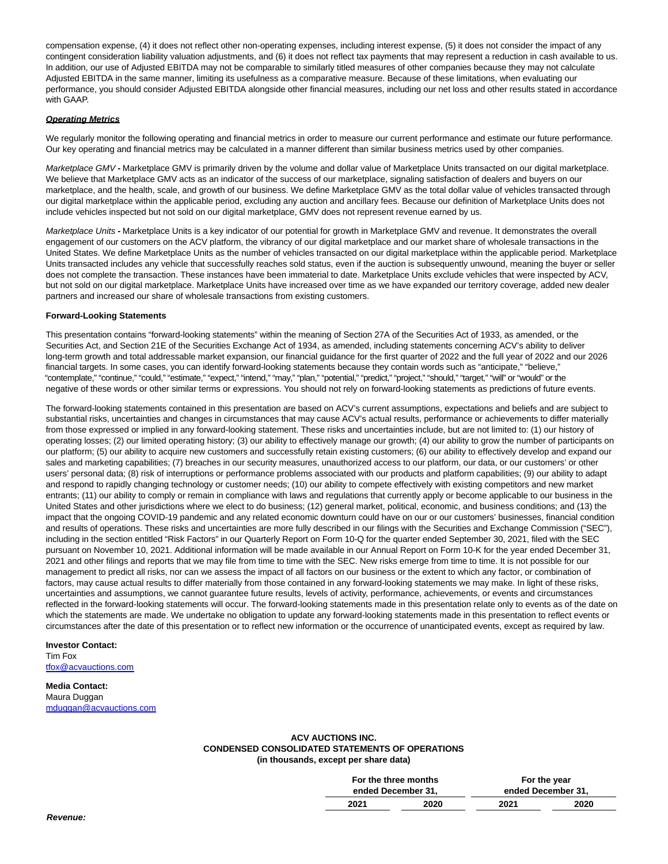compensation expense, (4) it does not reflect other non-operating expenses, including interest expense, (5) it does not consider the impact of any contingent consideration liability valuation adjustments, and (6) it does not reflect tax payments that may represent a reduction in cash available to us. In addition, our use of Adjusted EBITDA may not be comparable to similarly titled measures of other companies because they may not calculate Adjusted EBITDA in the same manner, limiting its usefulness as a comparative measure. Because of these limitations, when evaluating our performance, you should consider Adjusted EBITDA alongside other financial measures, including our net loss and other results stated in accordance with GAAP.

### **Operating Metrics**

We regularly monitor the following operating and financial metrics in order to measure our current performance and estimate our future performance. Our key operating and financial metrics may be calculated in a manner different than similar business metrics used by other companies.

Marketplace GMV **-** Marketplace GMV is primarily driven by the volume and dollar value of Marketplace Units transacted on our digital marketplace. We believe that Marketplace GMV acts as an indicator of the success of our marketplace, signaling satisfaction of dealers and buyers on our marketplace, and the health, scale, and growth of our business. We define Marketplace GMV as the total dollar value of vehicles transacted through our digital marketplace within the applicable period, excluding any auction and ancillary fees. Because our definition of Marketplace Units does not include vehicles inspected but not sold on our digital marketplace, GMV does not represent revenue earned by us.

Marketplace Units **-** Marketplace Units is a key indicator of our potential for growth in Marketplace GMV and revenue. It demonstrates the overall engagement of our customers on the ACV platform, the vibrancy of our digital marketplace and our market share of wholesale transactions in the United States. We define Marketplace Units as the number of vehicles transacted on our digital marketplace within the applicable period. Marketplace Units transacted includes any vehicle that successfully reaches sold status, even if the auction is subsequently unwound, meaning the buyer or seller does not complete the transaction. These instances have been immaterial to date. Marketplace Units exclude vehicles that were inspected by ACV, but not sold on our digital marketplace. Marketplace Units have increased over time as we have expanded our territory coverage, added new dealer partners and increased our share of wholesale transactions from existing customers.

### **Forward-Looking Statements**

This presentation contains "forward-looking statements" within the meaning of Section 27A of the Securities Act of 1933, as amended, or the Securities Act, and Section 21E of the Securities Exchange Act of 1934, as amended, including statements concerning ACV's ability to deliver long-term growth and total addressable market expansion, our financial guidance for the first quarter of 2022 and the full year of 2022 and our 2026 financial targets. In some cases, you can identify forward-looking statements because they contain words such as "anticipate," "believe," "contemplate," "continue," "could," "estimate," "expect," "intend," "may," "plan," "potential," "predict," "project," "should," "target," "will" or "would" or the negative of these words or other similar terms or expressions. You should not rely on forward-looking statements as predictions of future events.

The forward-looking statements contained in this presentation are based on ACV's current assumptions, expectations and beliefs and are subject to substantial risks, uncertainties and changes in circumstances that may cause ACV's actual results, performance or achievements to differ materially from those expressed or implied in any forward-looking statement. These risks and uncertainties include, but are not limited to: (1) our history of operating losses; (2) our limited operating history; (3) our ability to effectively manage our growth; (4) our ability to grow the number of participants on our platform; (5) our ability to acquire new customers and successfully retain existing customers; (6) our ability to effectively develop and expand our sales and marketing capabilities; (7) breaches in our security measures, unauthorized access to our platform, our data, or our customers' or other users' personal data; (8) risk of interruptions or performance problems associated with our products and platform capabilities; (9) our ability to adapt and respond to rapidly changing technology or customer needs; (10) our ability to compete effectively with existing competitors and new market entrants; (11) our ability to comply or remain in compliance with laws and regulations that currently apply or become applicable to our business in the United States and other jurisdictions where we elect to do business; (12) general market, political, economic, and business conditions; and (13) the impact that the ongoing COVID-19 pandemic and any related economic downturn could have on our or our customers' businesses, financial condition and results of operations. These risks and uncertainties are more fully described in our filings with the Securities and Exchange Commission ("SEC"), including in the section entitled "Risk Factors" in our Quarterly Report on Form 10-Q for the quarter ended September 30, 2021, filed with the SEC pursuant on November 10, 2021. Additional information will be made available in our Annual Report on Form 10-K for the year ended December 31, 2021 and other filings and reports that we may file from time to time with the SEC. New risks emerge from time to time. It is not possible for our management to predict all risks, nor can we assess the impact of all factors on our business or the extent to which any factor, or combination of factors, may cause actual results to differ materially from those contained in any forward-looking statements we may make. In light of these risks, uncertainties and assumptions, we cannot guarantee future results, levels of activity, performance, achievements, or events and circumstances reflected in the forward-looking statements will occur. The forward-looking statements made in this presentation relate only to events as of the date on which the statements are made. We undertake no obligation to update any forward-looking statements made in this presentation to reflect events or circumstances after the date of this presentation or to reflect new information or the occurrence of unanticipated events, except as required by law.

# **Investor Contact:** Tim Fox

[tfox@acvauctions.com](https://www.globenewswire.com/Tracker?data=W1I46ep74ZKweDYdeGMTio3nnscU6BV8uPkP3GWPDzTAcj7iEuNRYa2ohDirsKkVVNZszFv-3wtnq11XGPCko7iDKZbvN0wpUEcTaKqCLHE=)

**Media Contact:** Maura Duggan [mduggan@acvauctions.com](https://www.globenewswire.com/Tracker?data=6n6pN9jGPkG1xCJCZ0UMODNTp5GU84MJmZIoNLUFMBnajzSpZwnQInFeYpMS-616HDshj-oL4cdftn5SWTQZWnhbn6Jujb_HuVN4jEjYXUk=)

### **ACV AUCTIONS INC. CONDENSED CONSOLIDATED STATEMENTS OF OPERATIONS (in thousands, except per share data)**

| For the three months |              |                    | For the year |      |  |  |  |  |
|----------------------|--------------|--------------------|--------------|------|--|--|--|--|
| ended December 31,   |              | ended December 31, |              |      |  |  |  |  |
|                      | 2021<br>2020 |                    | 2021         | 2020 |  |  |  |  |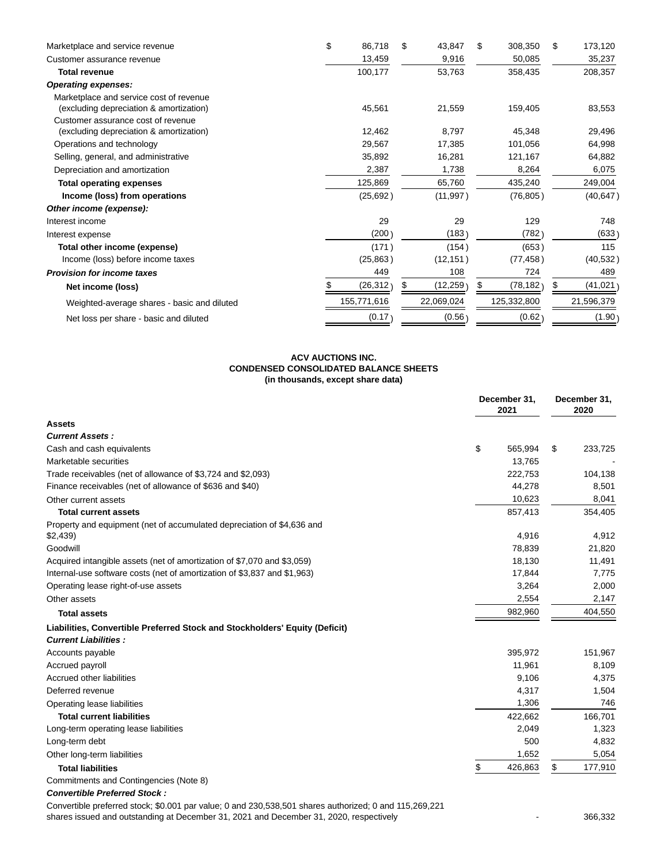| Marketplace and service revenue                                                    | \$<br>86,718 | \$<br>43,847 | \$ | 308,350     | \$<br>173,120   |
|------------------------------------------------------------------------------------|--------------|--------------|----|-------------|-----------------|
| Customer assurance revenue                                                         | 13,459       | 9,916        |    | 50,085      | 35,237          |
| <b>Total revenue</b>                                                               | 100,177      | 53,763       |    | 358,435     | 208,357         |
| <b>Operating expenses:</b>                                                         |              |              |    |             |                 |
| Marketplace and service cost of revenue<br>(excluding depreciation & amortization) | 45,561       | 21,559       |    | 159,405     | 83,553          |
| Customer assurance cost of revenue<br>(excluding depreciation & amortization)      | 12,462       | 8,797        |    | 45,348      | 29,496          |
| Operations and technology                                                          | 29,567       | 17,385       |    | 101,056     | 64,998          |
| Selling, general, and administrative                                               | 35,892       | 16,281       |    | 121,167     | 64,882          |
| Depreciation and amortization                                                      | 2,387        | 1,738        |    | 8,264       | 6,075           |
| <b>Total operating expenses</b>                                                    | 125,869      | 65,760       |    | 435,240     | 249,004         |
| Income (loss) from operations                                                      | (25, 692)    | (11, 997)    |    | (76, 805)   | (40, 647)       |
| Other income (expense):                                                            |              |              |    |             |                 |
| Interest income                                                                    | 29           | 29           |    | 129         | 748             |
| Interest expense                                                                   | (200)        | (183)        |    | (782)       | (633)           |
| Total other income (expense)                                                       | (171)        | (154)        |    | (653)       | 115             |
| Income (loss) before income taxes                                                  | (25, 863)    | (12, 151)    |    | (77, 458)   | (40, 532)       |
| <b>Provision for income taxes</b>                                                  | 449          | 108          |    | 724         | 489             |
| Net income (loss)                                                                  | (26, 312)    | (12,259      | S. | (78, 182)   | \$<br>( 41,021) |
| Weighted-average shares - basic and diluted                                        | 155,771,616  | 22,069,024   |    | 125,332,800 | 21,596,379      |
| Net loss per share - basic and diluted                                             | (0.17)       | (0.56)       |    | (0.62)      | (1.90)          |

### **ACV AUCTIONS INC. CONDENSED CONSOLIDATED BALANCE SHEETS (in thousands, except share data)**

|                                                                             | December 31,<br>2021 |         | December 31,<br>2020 |         |
|-----------------------------------------------------------------------------|----------------------|---------|----------------------|---------|
| <b>Assets</b>                                                               |                      |         |                      |         |
| <b>Current Assets:</b>                                                      |                      |         |                      |         |
| Cash and cash equivalents                                                   | \$                   | 565,994 | \$                   | 233,725 |
| Marketable securities                                                       |                      | 13.765  |                      |         |
| Trade receivables (net of allowance of \$3,724 and \$2,093)                 |                      | 222,753 |                      | 104,138 |
| Finance receivables (net of allowance of \$636 and \$40)                    |                      | 44,278  |                      | 8,501   |
| Other current assets                                                        |                      | 10,623  |                      | 8,041   |
| <b>Total current assets</b>                                                 |                      | 857,413 |                      | 354,405 |
| Property and equipment (net of accumulated depreciation of \$4,636 and      |                      |         |                      |         |
| \$2,439                                                                     |                      | 4,916   |                      | 4,912   |
| Goodwill                                                                    |                      | 78,839  |                      | 21,820  |
| Acquired intangible assets (net of amortization of \$7,070 and \$3,059)     |                      | 18,130  |                      | 11,491  |
| Internal-use software costs (net of amortization of \$3,837 and \$1,963)    |                      | 17,844  |                      | 7,775   |
| Operating lease right-of-use assets                                         |                      | 3,264   |                      | 2,000   |
| Other assets                                                                |                      | 2,554   |                      | 2,147   |
| <b>Total assets</b>                                                         |                      | 982,960 |                      | 404,550 |
| Liabilities, Convertible Preferred Stock and Stockholders' Equity (Deficit) |                      |         |                      |         |
| <b>Current Liabilities:</b>                                                 |                      |         |                      |         |
| Accounts payable                                                            |                      | 395,972 |                      | 151,967 |
| Accrued payroll                                                             |                      | 11,961  |                      | 8,109   |
| Accrued other liabilities                                                   |                      | 9,106   |                      | 4,375   |
| Deferred revenue                                                            |                      | 4,317   |                      | 1,504   |
| Operating lease liabilities                                                 |                      | 1,306   |                      | 746     |
| <b>Total current liabilities</b>                                            |                      | 422,662 |                      | 166,701 |
| Long-term operating lease liabilities                                       |                      | 2,049   |                      | 1,323   |
| Long-term debt                                                              |                      | 500     |                      | 4,832   |
| Other long-term liabilities                                                 |                      | 1,652   |                      | 5,054   |
| <b>Total liabilities</b>                                                    | \$                   | 426,863 | \$                   | 177,910 |
| Commitments and Contingencies (Note 8)                                      |                      |         |                      |         |

## **Convertible Preferred Stock :**

Convertible preferred stock; \$0.001 par value; 0 and 230,538,501 shares authorized; 0 and 115,269,221 shares issued and outstanding at December 31, 2021 and December 31, 2020, respectively 366,332 shares issued and outstanding at December 31, 2021 and December 31, 2020, respectively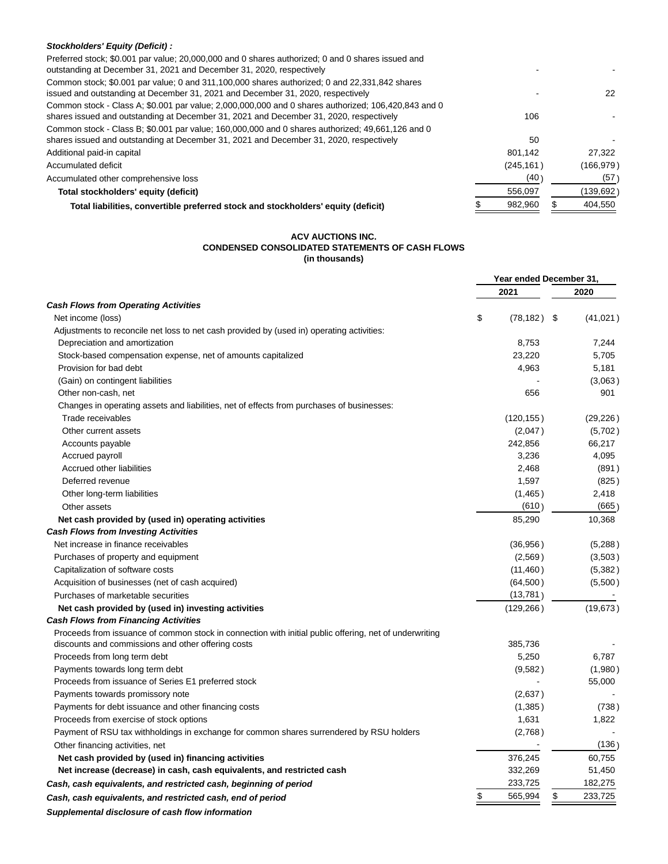### **Stockholders' Equity (Deficit) :**

| Preferred stock; \$0.001 par value; 20,000,000 and 0 shares authorized; 0 and 0 shares issued and<br>outstanding at December 31, 2021 and December 31, 2020, respectively                     |            |            |
|-----------------------------------------------------------------------------------------------------------------------------------------------------------------------------------------------|------------|------------|
| Common stock; \$0.001 par value; 0 and 311,100,000 shares authorized; 0 and 22,331,842 shares<br>issued and outstanding at December 31, 2021 and December 31, 2020, respectively              |            | 22         |
| Common stock - Class A; \$0.001 par value; 2,000,000,000 and 0 shares authorized; 106,420,843 and 0<br>shares issued and outstanding at December 31, 2021 and December 31, 2020, respectively | 106        |            |
| Common stock - Class B; \$0.001 par value; 160,000,000 and 0 shares authorized; 49,661,126 and 0<br>shares issued and outstanding at December 31, 2021 and December 31, 2020, respectively    | 50         |            |
| Additional paid-in capital                                                                                                                                                                    | 801.142    | 27.322     |
| Accumulated deficit                                                                                                                                                                           | (245, 161) | (166, 979) |
| Accumulated other comprehensive loss                                                                                                                                                          | (40)       | (57)       |
| Total stockholders' equity (deficit)                                                                                                                                                          | 556.097    | (139, 692) |
| Total liabilities, convertible preferred stock and stockholders' equity (deficit)                                                                                                             | 982,960    | 404,550    |

# **ACV AUCTIONS INC.**

#### **CONDENSED CONSOLIDATED STATEMENTS OF CASH FLOWS (in thousands)**

|                                                                                                        | Year ended December 31, |                |    |           |  |
|--------------------------------------------------------------------------------------------------------|-------------------------|----------------|----|-----------|--|
|                                                                                                        |                         | 2021           |    | 2020      |  |
| <b>Cash Flows from Operating Activities</b>                                                            |                         |                |    |           |  |
| Net income (loss)                                                                                      | \$                      | $(78, 182)$ \$ |    | (41, 021) |  |
| Adjustments to reconcile net loss to net cash provided by (used in) operating activities:              |                         |                |    |           |  |
| Depreciation and amortization                                                                          |                         | 8,753          |    | 7,244     |  |
| Stock-based compensation expense, net of amounts capitalized                                           |                         | 23,220         |    | 5,705     |  |
| Provision for bad debt                                                                                 |                         | 4,963          |    | 5,181     |  |
| (Gain) on contingent liabilities                                                                       |                         |                |    | (3,063)   |  |
| Other non-cash, net                                                                                    |                         | 656            |    | 901       |  |
| Changes in operating assets and liabilities, net of effects from purchases of businesses:              |                         |                |    |           |  |
| Trade receivables                                                                                      |                         | (120, 155)     |    | (29, 226) |  |
| Other current assets                                                                                   |                         | (2,047)        |    | (5,702)   |  |
| Accounts payable                                                                                       |                         | 242,856        |    | 66,217    |  |
| Accrued payroll                                                                                        |                         | 3,236          |    | 4,095     |  |
| Accrued other liabilities                                                                              |                         | 2,468          |    | (891)     |  |
| Deferred revenue                                                                                       |                         | 1,597          |    | (825)     |  |
| Other long-term liabilities                                                                            |                         | (1,465)        |    | 2,418     |  |
| Other assets                                                                                           |                         | (610)          |    | (665)     |  |
| Net cash provided by (used in) operating activities                                                    |                         | 85,290         |    | 10,368    |  |
| <b>Cash Flows from Investing Activities</b>                                                            |                         |                |    |           |  |
| Net increase in finance receivables                                                                    |                         | (36, 956)      |    | (5,288)   |  |
| Purchases of property and equipment                                                                    |                         | (2,569)        |    | (3,503)   |  |
| Capitalization of software costs                                                                       |                         | (11, 460)      |    | (5,382)   |  |
| Acquisition of businesses (net of cash acquired)                                                       |                         | (64, 500)      |    | (5,500)   |  |
| Purchases of marketable securities                                                                     |                         | (13,781)       |    |           |  |
| Net cash provided by (used in) investing activities                                                    |                         | (129, 266)     |    | (19, 673) |  |
| <b>Cash Flows from Financing Activities</b>                                                            |                         |                |    |           |  |
| Proceeds from issuance of common stock in connection with initial public offering, net of underwriting |                         |                |    |           |  |
| discounts and commissions and other offering costs                                                     |                         | 385,736        |    |           |  |
| Proceeds from long term debt                                                                           |                         | 5,250          |    | 6.787     |  |
| Payments towards long term debt                                                                        |                         | (9,582)        |    | (1,980)   |  |
| Proceeds from issuance of Series E1 preferred stock                                                    |                         |                |    | 55,000    |  |
| Payments towards promissory note                                                                       |                         | (2,637)        |    |           |  |
| Payments for debt issuance and other financing costs                                                   |                         | (1,385)        |    | (738)     |  |
| Proceeds from exercise of stock options                                                                |                         | 1,631          |    | 1,822     |  |
| Payment of RSU tax withholdings in exchange for common shares surrendered by RSU holders               |                         | (2,768)        |    |           |  |
| Other financing activities, net                                                                        |                         |                |    | (136)     |  |
| Net cash provided by (used in) financing activities                                                    |                         | 376,245        |    | 60,755    |  |
| Net increase (decrease) in cash, cash equivalents, and restricted cash                                 |                         | 332,269        |    | 51,450    |  |
| Cash, cash equivalents, and restricted cash, beginning of period                                       |                         | 233,725        |    | 182,275   |  |
| Cash, cash equivalents, and restricted cash, end of period                                             | \$                      | 565,994        | \$ | 233,725   |  |
| Supplemental disclosure of cash flow information                                                       |                         |                |    |           |  |